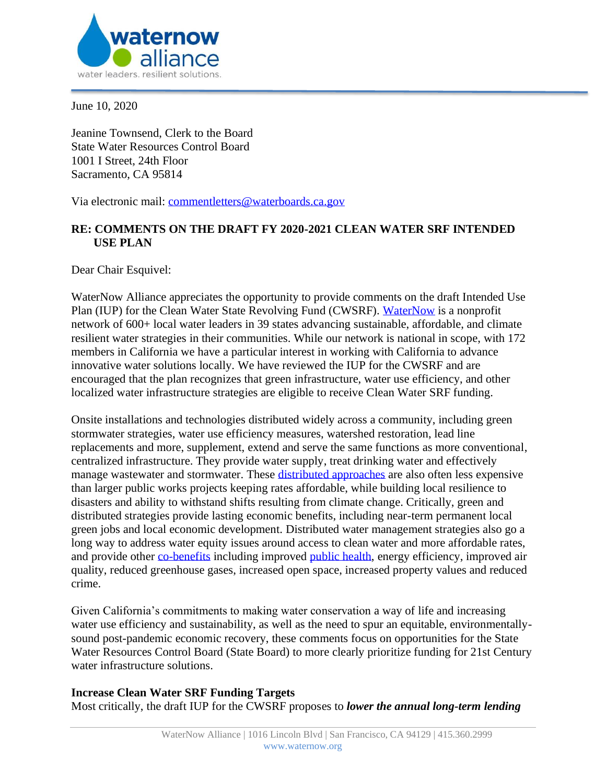

June 10, 2020

Jeanine Townsend, Clerk to the Board State Water Resources Control Board 1001 I Street, 24th Floor Sacramento, CA 95814

Via electronic mail: [commentletters@waterboards.ca.gov](mailto:commentletters@waterboards.ca.gov)

# **RE: COMMENTS ON THE DRAFT FY 2020-2021 CLEAN WATER SRF INTENDED USE PLAN**

Dear Chair Esquivel:

WaterNow Alliance appreciates the opportunity to provide comments on the draft Intended Use Plan (IUP) for the Clean Water State Revolving Fund (CWSRF). [WaterNow](https://waternow.org/) is a nonprofit network of 600+ local water leaders in 39 states advancing sustainable, affordable, and climate resilient water strategies in their communities. While our network is national in scope, with 172 members in California we have a particular interest in working with California to advance innovative water solutions locally. We have reviewed the IUP for the CWSRF and are encouraged that the plan recognizes that green infrastructure, water use efficiency, and other localized water infrastructure strategies are eligible to receive Clean Water SRF funding.

Onsite installations and technologies distributed widely across a community, including green stormwater strategies, water use efficiency measures, watershed restoration, lead line replacements and more, supplement, extend and serve the same functions as more conventional, centralized infrastructure. They provide water supply, treat drinking water and effectively manage wastewater and stormwater. These [distributed approaches](https://www.researchgate.net/publication/331066784_Sustainable_and_Resilient_Urban_Water_Systems_The_Role_of_Decentralization_and_Planning) are also often less expensive than larger public works projects keeping rates affordable, while building local resilience to disasters and ability to withstand shifts resulting from climate change. Critically, green and distributed strategies provide lasting economic benefits, including near-term permanent local green jobs and local economic development. Distributed water management strategies also go a long way to address water equity issues around access to clean water and more affordable rates, and provide other [co-benefits](https://pacinst.org/wp-content/uploads/2019/04/moving-toward-multi-benefit-approach.pdf) including improved [public health,](https://tapin.waternow.org/wp-content/uploads/sites/2/2019/06/PWD-Impact-Analysis.pdf) energy efficiency, improved air quality, reduced greenhouse gases, increased open space, increased property values and reduced crime.

Given California's commitments to making water conservation a way of life and increasing water use efficiency and sustainability, as well as the need to spur an equitable, environmentallysound post-pandemic economic recovery, these comments focus on opportunities for the State Water Resources Control Board (State Board) to more clearly prioritize funding for 21st Century water infrastructure solutions.

### **Increase Clean Water SRF Funding Targets**

Most critically, the draft IUP for the CWSRF proposes to *lower the annual long-term lending*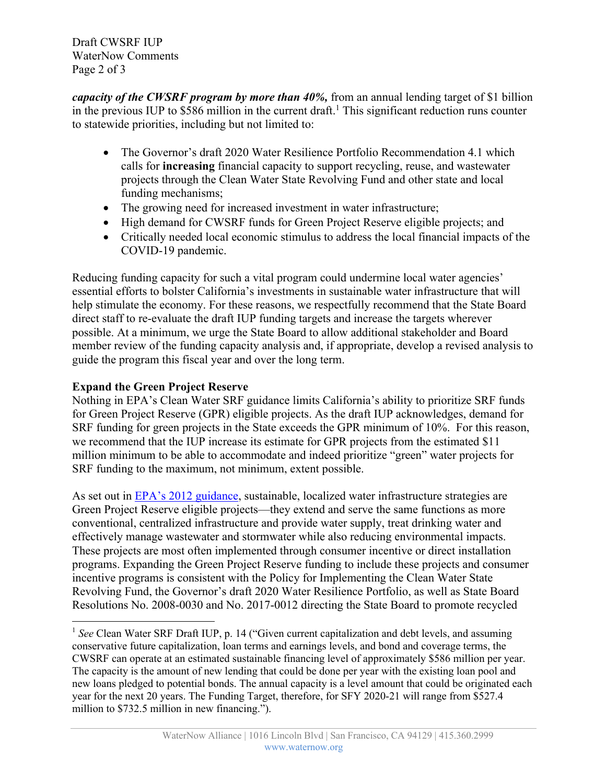Draft CWSRF IUP WaterNow Comments Page 2 of 3

*capacity of the CWSRF program by more than 40%,* from an annual lending target of \$1 billion in the previous IUP to  $$586$  million in the current draft.<sup>1</sup> This significant reduction runs counter to statewide priorities, including but not limited to:

- The Governor's draft 2020 Water Resilience Portfolio Recommendation 4.1 which calls for **increasing** financial capacity to support recycling, reuse, and wastewater projects through the Clean Water State Revolving Fund and other state and local funding mechanisms;
- The growing need for increased investment in water infrastructure;
- High demand for CWSRF funds for Green Project Reserve eligible projects; and
- Critically needed local economic stimulus to address the local financial impacts of the COVID-19 pandemic.

Reducing funding capacity for such a vital program could undermine local water agencies' essential efforts to bolster California's investments in sustainable water infrastructure that will help stimulate the economy. For these reasons, we respectfully recommend that the State Board direct staff to re-evaluate the draft IUP funding targets and increase the targets wherever possible. At a minimum, we urge the State Board to allow additional stakeholder and Board member review of the funding capacity analysis and, if appropriate, develop a revised analysis to guide the program this fiscal year and over the long term.

# **Expand the Green Project Reserve**

Nothing in EPA's Clean Water SRF guidance limits California's ability to prioritize SRF funds for Green Project Reserve (GPR) eligible projects. As the draft IUP acknowledges, demand for SRF funding for green projects in the State exceeds the GPR minimum of 10%. For this reason, we recommend that the IUP increase its estimate for GPR projects from the estimated \$11 million minimum to be able to accommodate and indeed prioritize "green" water projects for SRF funding to the maximum, not minimum, extent possible.

As set out in EPA's 2012 guidance, sustainable, localized water infrastructure strategies are Green Project Reserve eligible projects—they extend and serve the same functions as more conventional, centralized infrastructure and provide water supply, treat drinking water and effectively manage wastewater and stormwater while also reducing environmental impacts. These projects are most often implemented through consumer incentive or direct installation programs. Expanding the Green Project Reserve funding to include these projects and consumer incentive programs is consistent with the Policy for Implementing the Clean Water State Revolving Fund, the Governor's draft 2020 Water Resilience Portfolio, as well as State Board Resolutions No. 2008-0030 and No. 2017-0012 directing the State Board to promote recycled

<sup>&</sup>lt;sup>1</sup> See Clean Water SRF Draft IUP, p. 14 ("Given current capitalization and debt levels, and assuming conservative future capitalization, loan terms and earnings levels, and bond and coverage terms, the CWSRF can operate at an estimated sustainable financing level of approximately \$586 million per year. The capacity is the amount of new lending that could be done per year with the existing loan pool and new loans pledged to potential bonds. The annual capacity is a level amount that could be originated each year for the next 20 years. The Funding Target, therefore, for SFY 2020-21 will range from \$527.4 million to \$732.5 million in new financing.").